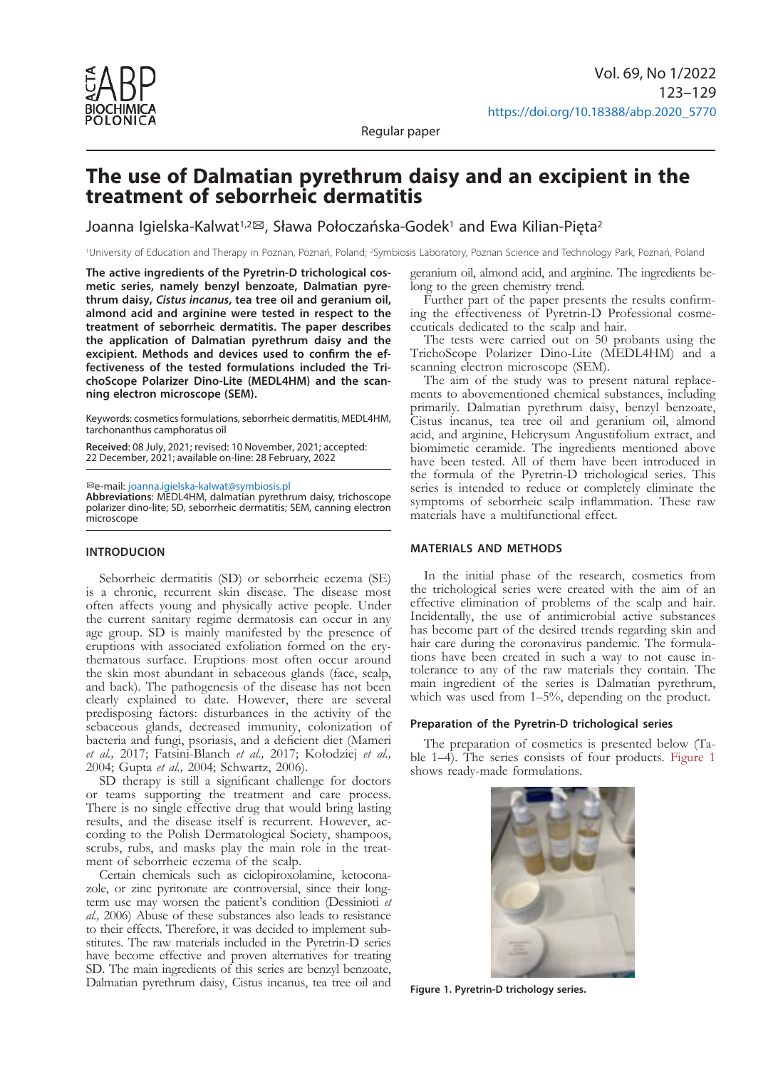

Regular paper

# **The use of Dalmatian pyrethrum daisy and an excipient in the treatment of seborrheic dermatitis**

Joanna Igielska-Kalwat<sup>1,2</sup><sup>®</sup>, Sława Połoczańska-Godek<sup>1</sup> and Ewa Kilian-Pięta<sup>2</sup>

1University of Education and Therapy in Poznan, Poznań, Poland; 2Symbiosis Laboratory, Poznan Science and Technology Park, Poznań, Poland

**The active ingredients of the Pyretrin-D trichological cosmetic series, namely benzyl benzoate, Dalmatian pyrethrum daisy,** *Cistus incanus***, tea tree oil and geranium oil, almond acid and arginine were tested in respect to the treatment of seborrheic dermatitis. The paper describes the application of Dalmatian pyrethrum daisy and the excipient. Methods and devices used to confirm the effectiveness of the tested formulations included the TrichoScope Polarizer Dino-Lite (MEDL4HM) and the scanning electron microscope (SEM).**

Keywords: cosmetics formulations, seborrheic dermatitis, MEDL4HM, tarchonanthus camphoratus oil

**Received**: 08 July, 2021; revised: 10 November, 2021; accepted: 22 December, 2021; available on-line: 28 February, 2022

✉e-mail: [joanna.igielska-kalwat@symbiosis.pl](mailto:joanna.igielska-kalwat@symbiosis.pl)

**Abbreviations**: MEDL4HM, dalmatian pyrethrum daisy, trichoscope polarizer dino-lite; SD, seborrheic dermatitis; SEM, canning electron microscope

## **INTRODUCION**

Seborrheic dermatitis (SD) or seborrheic eczema (SE) is a chronic, recurrent skin disease. The disease most often affects young and physically active people. Under the current sanitary regime dermatosis can occur in any age group. SD is mainly manifested by the presence of eruptions with associated exfoliation formed on the erythematous surface. Eruptions most often occur around the skin most abundant in sebaceous glands (face, scalp, and back). The pathogenesis of the disease has not been clearly explained to date. However, there are several predisposing factors: disturbances in the activity of the sebaceous glands, decreased immunity, colonization of bacteria and fungi, psoriasis, and a deficient diet (Mameri *et al.,* 2017; Fatsini-Blanch *et al.,* 2017; Kołodziej *et al.,* 2004; Gupta *et al.,* 2004; Schwartz, 2006).

SD therapy is still a significant challenge for doctors or teams supporting the treatment and care process. There is no single effective drug that would bring lasting results, and the disease itself is recurrent. However, according to the Polish Dermatological Society, shampoos, scrubs, rubs, and masks play the main role in the treat- ment of seborrheic eczema of the scalp.

Certain chemicals such as ciclopiroxolamine, ketocona- zole, or zinc pyritonate are controversial, since their longterm use may worsen the patient's condition (Dessinioti *et al.,* 2006) Abuse of these substances also leads to resistance to their effects. Therefore, it was decided to implement substitutes. The raw materials included in the Pyretrin-D series have become effective and proven alternatives for treating SD. The main ingredients of this series are benzyl benzoate, Dalmatian pyrethrum daisy, Cistus incanus, tea tree oil and geranium oil, almond acid, and arginine. The ingredients belong to the green chemistry trend.

Further part of the paper presents the results confirming the effectiveness of Pyretrin-D Professional cosmeceuticals dedicated to the scalp and hair.

The tests were carried out on 50 probants using the TrichoScope Polarizer Dino-Lite (MEDL4HM) and a scanning electron microscope (SEM).

The aim of the study was to present natural replacements to abovementioned chemical substances, including primarily. Dalmatian pyrethrum daisy, benzyl benzoate, Cistus incanus, tea tree oil and geranium oil, almond acid, and arginine, Helicrysum Angustifolium extract, and biomimetic ceramide. The ingredients mentioned above have been tested. All of them have been introduced in the formula of the Pyretrin-D trichological series. This series is intended to reduce or completely eliminate the symptoms of seborrheic scalp inflammation. These raw materials have a multifunctional effect.

## **MATERIALS AND METHODS**

In the initial phase of the research, cosmetics from the trichological series were created with the aim of an effective elimination of problems of the scalp and hair. Incidentally, the use of antimicrobial active substances has become part of the desired trends regarding skin and hair care during the coronavirus pandemic. The formulations have been created in such a way to not cause intolerance to any of the raw materials they contain. The main ingredient of the series is Dalmatian pyrethrum, which was used from  $1-5\%$ , depending on the product.

# **Preparation of the Pyretrin-D trichological series**

The preparation of cosmetics is presented below (Table 1–4). The series consists of four products. Figure 1 shows ready-made formulations.



**Figure 1. Pyretrin-D trichology series.**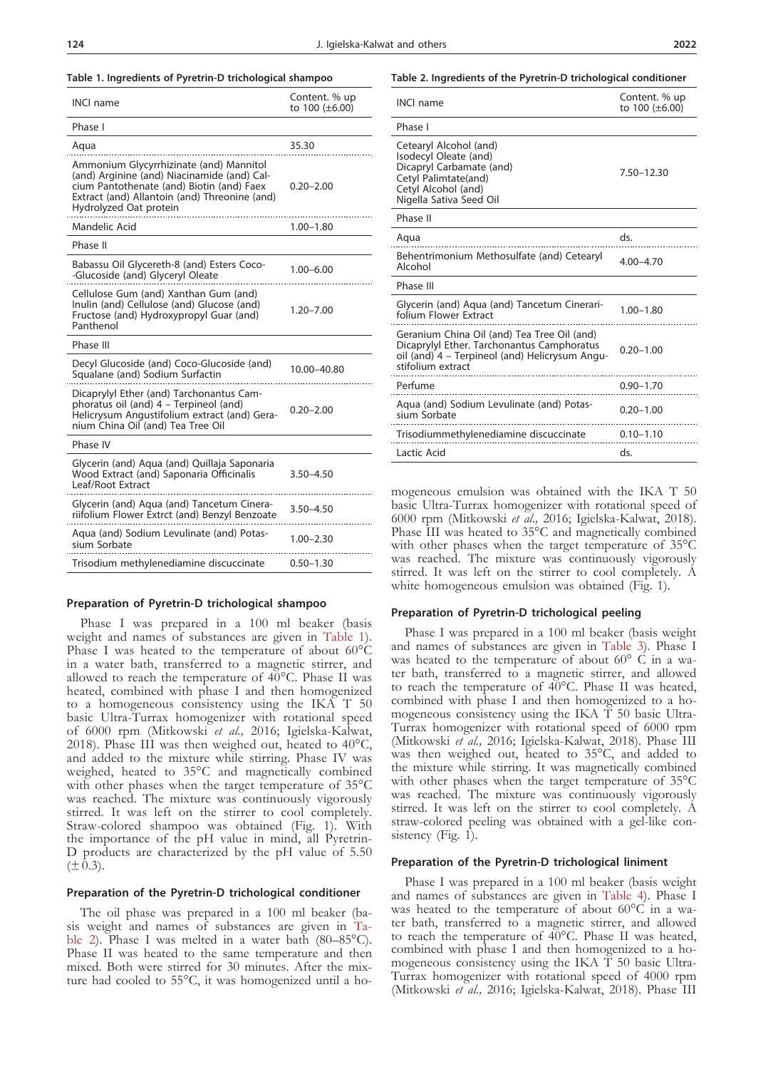| <b>INCL</b> name                                                                                                                                                                                               | Content. % up<br>to 100 (±6.00) |
|----------------------------------------------------------------------------------------------------------------------------------------------------------------------------------------------------------------|---------------------------------|
| Phase I                                                                                                                                                                                                        |                                 |
| Aqua                                                                                                                                                                                                           | 35.30                           |
| Ammonium Glycyrrhizinate (and) Mannitol<br>(and) Arginine (and) Niacinamide (and) Cal-<br>cium Pantothenate (and) Biotin (and) Faex<br>Extract (and) Allantoin (and) Threonine (and)<br>Hydrolyzed Oat protein | $0.20 - 2.00$                   |
| Mandelic Acid                                                                                                                                                                                                  | $1.00 - 1.80$                   |
| Phase II                                                                                                                                                                                                       |                                 |
| Babassu Oil Glycereth-8 (and) Esters Coco-<br>-Glucoside (and) Glyceryl Oleate                                                                                                                                 | 1.00–6.00                       |
| Cellulose Gum (and) Xanthan Gum (and)<br>Inulin (and) Cellulose (and) Glucose (and)<br>Fructose (and) Hydroxypropyl Guar (and)<br>Panthenol                                                                    | 1.20-7.00                       |
| Phase III                                                                                                                                                                                                      |                                 |
| Decyl Glucoside (and) Coco-Glucoside (and)<br>Squalane (and) Sodium Surfactin                                                                                                                                  | 10.00–40.80                     |
| Dicaprylyl Ether (and) Tarchonantus Cam-<br>phoratus oil (and) 4 - Terpineol (and)<br>Helicrysum Angustifolium extract (and) Gera-<br>nium China Oil (and) Tea Tree Oil                                        | $0.20 - 2.00$                   |
| Phase IV                                                                                                                                                                                                       |                                 |
| Glycerin (and) Aqua (and) Quillaja Saponaria<br>Wood Extract (and) Saponaria Officinalis<br>Leaf/Root Extract                                                                                                  | 3.50-4.50                       |
| Glycerin (and) Aqua (and) Tancetum Cinera-<br>riifolium Flower Extrct (and) Benzyl Benzoate                                                                                                                    | 3.50-4.50                       |
| Aqua (and) Sodium Levulinate (and) Potas-<br>sium Sorbate                                                                                                                                                      | $1.00 - 2.30$                   |
| Trisodium methylenediamine discuccinate                                                                                                                                                                        | $0.50 - 1.30$                   |

## **Preparation of Pyretrin-D trichological shampoo**

Phase I was prepared in a 100 ml beaker (basis weight and names of substances are given in Table 1). Phase I was heated to the temperature of about 60°C in a water bath, transferred to a magnetic stirrer, and allowed to reach the temperature of  $40^{\circ}$ C. Phase II was heated, combined with phase I and then homogenized to a homogeneous consistency using the IKA T 50 basic Ultra-Turrax homogenizer with rotational speed of 6000 rpm (Mitkowski *et al.,* 2016; Igielska-Kalwat, 2018). Phase III was then weighed out, heated to  $40^{\circ}$ C, and added to the mixture while stirring. Phase IV was weighed, heated to 35°C and magnetically combined with other phases when the target temperature of 35°C was reached. The mixture was continuously vigorously stirred. It was left on the stirrer to cool completely. Straw-colored shampoo was obtained (Fig. 1). With the importance of the pH value in mind, all Pyretrin-D products are characterized by the pH value of 5.50  $(\pm 0.3).$ 

## **Preparation of the Pyretrin-D trichological conditioner**

The oil phase was prepared in a 100 ml beaker (basis weight and names of substances are given in Table 2). Phase I was melted in a water bath (80–85°C). Phase II was heated to the same temperature and then mixed. Both were stirred for 30 minutes. After the mix-<br>ture had cooled to 55°C, it was homogenized until a ho-

#### **Table 2. Ingredients of the Pyretrin-D trichological conditioner**

| <b>INCI name</b>                                                                                                                                                 | Content. % up<br>to 100 (±6.00) |
|------------------------------------------------------------------------------------------------------------------------------------------------------------------|---------------------------------|
| Phase I                                                                                                                                                          |                                 |
| Cetearyl Alcohol (and)<br>Isodecyl Oleate (and)<br>Dicapryl Carbamate (and)<br>Cetyl Palimtate(and)<br>Cetyl Alcohol (and)<br>Nigella Sativa Seed Oil            | 7.50-12.30                      |
| Phase II                                                                                                                                                         |                                 |
| Aqua                                                                                                                                                             | ds.                             |
| Behentrimonium Methosulfate (and) Cetearyl<br>Alcohol                                                                                                            | $4.00 - 4.70$                   |
| Phase III                                                                                                                                                        |                                 |
| Glycerin (and) Agua (and) Tancetum Cinerari-<br>folium Flower Extract                                                                                            | $1.00 - 1.80$                   |
| Geranium China Oil (and) Tea Tree Oil (and)<br>Dicaprylyl Ether. Tarchonantus Camphoratus<br>oil (and) 4 - Terpineol (and) Helicrysum Angu-<br>stifolium extract | $0.20 - 1.00$                   |
| Perfume                                                                                                                                                          | $0.90 - 1.70$                   |
| Aqua (and) Sodium Levulinate (and) Potas-<br>sium Sorbate                                                                                                        | $0.20 - 1.00$                   |
| Trisodiummethylenediamine discuccinate                                                                                                                           | $0.10 - 1.10$                   |
| Lactic Acid                                                                                                                                                      | ds.                             |

mogeneous emulsion was obtained with the IKA T 50 basic Ultra-Turrax homogenizer with rotational speed of 6000 rpm (Mitkowski *et al.,* 2016; Igielska-Kalwat, 2018). Phase III was heated to 35°C and magnetically combined with other phases when the target temperature of 35°C was reached. The mixture was continuously vigorously stirred. It was left on the stirrer to cool completely. A white homogeneous emulsion was obtained (Fig. 1).

#### **Preparation of Pyretrin-D trichological peeling**

Phase I was prepared in a 100 ml beaker (basis weight and names of substances are given in Table 3). Phase I was heated to the temperature of about  $60^{\circ}$  C in a water bath, transferred to a magnetic stirrer, and allowed to reach the temperature of  $\widetilde{40}^{\circ}$ C. Phase II was heated, combined with phase I and then homogenized to a ho- mogeneous consistency using the IKA T 50 basic Ultra-Turrax homogenizer with rotational speed of 6000 rpm (Mitkowski *et al.,* 2016; Igielska-Kalwat, 2018). Phase III was then weighed out, heated to 35°C, and added to the mixture while stirring. It was magnetically combined with other phases when the target temperature of 35°C was reached. The mixture was continuously vigorously stirred. It was left on the stirrer to cool completely. A straw-colored peeling was obtained with a gel-like consistency (Fig. 1).

# **Preparation of the Pyretrin-D trichological liniment**

Phase I was prepared in a 100 ml beaker (basis weight and names of substances are given in Table 4). Phase I was heated to the temperature of about  $60^{\circ}$ C in a water bath, transferred to a magnetic stirrer, and allowed to reach the temperature of 40°C. Phase II was heated, combined with phase I and then homogenized to a homogeneous consistency using the IKA T 50 basic Ultra-Turrax homogenizer with rotational speed of 4000 rpm (Mitkowski *et al.,* 2016; Igielska-Kalwat, 2018). Phase III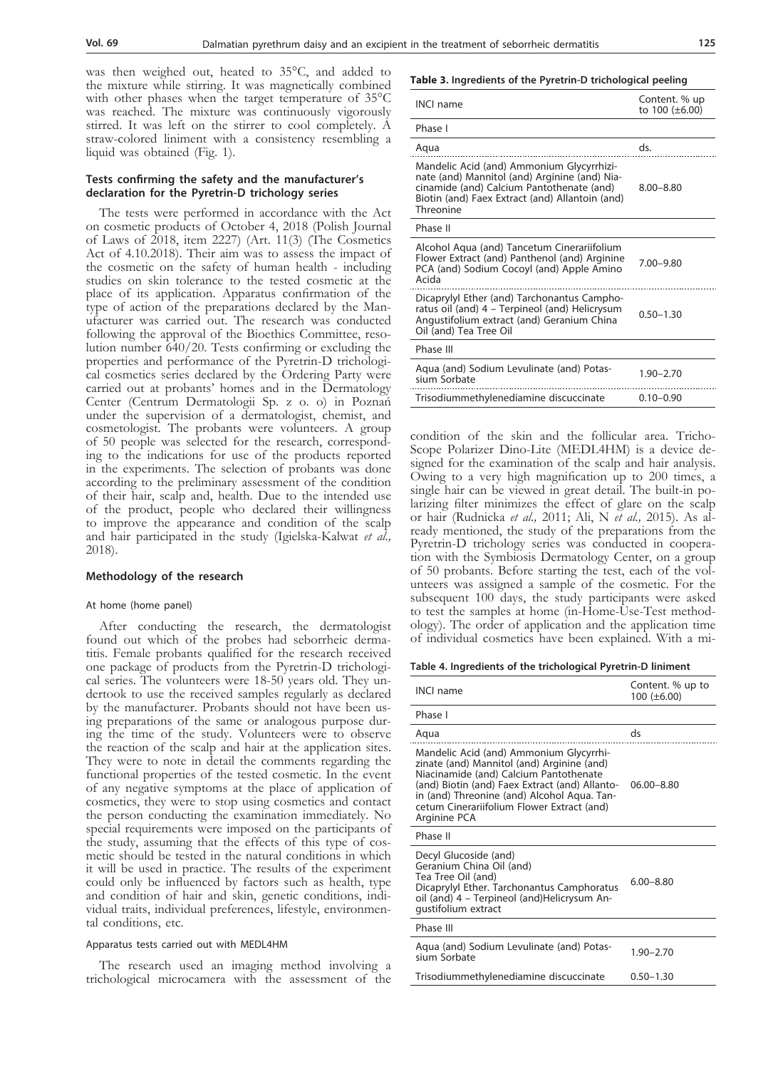was then weighed out, heated to 35°C, and added to the mixture while stirring. It was magnetically combined with other phases when the target temperature of 35°C was reached. The mixture was continuously vigorously stirred. It was left on the stirrer to cool completely. A straw-colored liniment with a consistency resembling a liquid was obtained (Fig. 1).

## **Tests confirming the safety and the manufacturer's declaration for the Pyretrin-D trichology series**

The tests were performed in accordance with the Act on cosmetic products of October 4, 2018 (Polish Journal of Laws of 2018, item 2227) (Art. 11(3) (The Cosmetics Act of 4.10.2018). Their aim was to assess the impact of the cosmetic on the safety of human health - including studies on skin tolerance to the tested cosmetic at the place of its application. Apparatus confirmation of the type of action of the preparations declared by the Man-<br>ufacturer was carried out. The research was conducted<br>following the approval of the Bioethics Committee, resolution number  $640/20$ . Tests confirming or excluding the properties and performance of the Pyretrin-D trichologi- cal cosmetics series declared by the Ordering Party were carried out at probants' homes and in the Dermatology Center (Centrum Dermatologii Sp. z o. o) in Poznań under the supervision of a dermatologist, chemist, and cosmetologist. The probants were volunteers. A group of 50 people was selected for the research, correspond- ing to the indications for use of the products reported in the experiments. The selection of probants was done according to the preliminary assessment of the condition of their hair, scalp and, health. Due to the intended use of the product, people who declared their willingness to improve the appearance and condition of the scalp and hair participated in the study (Igielska-Kalwat *et al.,* 2018).

## **Methodology of the research**

## At home (home panel)

After conducting the research, the dermatologist found out which of the probes had seborrheic dermatitis. Female probants qualified for the research received one package of products from the Pyretrin-D trichological series. The volunteers were 18-50 years old. They undertook to use the received samples regularly as declared by the manufacturer. Probants should not have been using preparations of the same or analogous purpose during the time of the study. Volunteers were to observe the reaction of the scalp and hair at the application sites. They were to note in detail the comments regarding the functional properties of the tested cosmetic. In the event of any negative symptoms at the place of application of cosmetics, they were to stop using cosmetics and contact the person conducting the examination immediately. No special requirements were imposed on the participants of the study, assuming that the effects of this type of cos- metic should be tested in the natural conditions in which it will be used in practice. The results of the experiment could only be influenced by factors such as health, type and condition of hair and skin, genetic conditions, individual traits, individual preferences, lifestyle, environmen-<br>tal conditions, etc.

## Apparatus tests carried out with MEDL4HM

The research used an imaging method involving a trichological microcamera with the assessment of the

#### **Table 3. Ingredients of the Pyretrin-D trichological peeling**

| <b>INCI name</b>                                                                                                                                                                                        | Content. % up<br>to $100 (\pm 6.00)$ |
|---------------------------------------------------------------------------------------------------------------------------------------------------------------------------------------------------------|--------------------------------------|
| Phase I                                                                                                                                                                                                 |                                      |
| Aqua                                                                                                                                                                                                    | ds.                                  |
| Mandelic Acid (and) Ammonium Glycyrrhizi-<br>nate (and) Mannitol (and) Arginine (and) Nia-<br>cinamide (and) Calcium Pantothenate (and)<br>Biotin (and) Faex Extract (and) Allantoin (and)<br>Threonine | $8.00 - 8.80$                        |
| Phase II                                                                                                                                                                                                |                                      |
| Alcohol Agua (and) Tancetum Cinerariifolium<br>Flower Extract (and) Panthenol (and) Arginine<br>PCA (and) Sodium Cocoyl (and) Apple Amino<br>Acida                                                      | $7.00 - 9.80$                        |
| Dicaprylyl Ether (and) Tarchonantus Campho-<br>ratus oil (and) 4 – Terpineol (and) Helicrysum<br>Angustifolium extract (and) Geranium China<br>Oil (and) Tea Tree Oil                                   | $0.50 - 1.30$                        |
| Phase III                                                                                                                                                                                               |                                      |
| Aqua (and) Sodium Levulinate (and) Potas-<br>sium Sorbate                                                                                                                                               | $1.90 - 2.70$                        |
| Trisodiummethylenediamine discuccinate                                                                                                                                                                  | $0.10 - 0.90$                        |

condition of the skin and the follicular area. Tricho-Scope Polarizer Dino-Lite (MEDL4HM) is a device designed for the examination of the scalp and hair analysis. Owing to a very high magnification up to 200 times, a single hair can be viewed in great detail. The built-in polarizing filter minimizes the effect of glare on the scalp or hair (Rudnicka *et al.,* 2011; Ali, N *et al.,* 2015). As already mentioned, the study of the preparations from the Pyretrin-D trichology series was conducted in cooperation with the Symbiosis Dermatology Center, on a group of 50 probants. Before starting the test, each of the volunteers was assigned a sample of the cosmetic. For the subsequent 100 days, the study participants were asked to test the samples at home (in-Home-Use-Test methodology). The order of application and the application time of individual cosmetics have been explained. With a mi-

#### **Table 4. Ingredients of the trichological Pyretrin-D liniment**

| <b>INCI name</b>                                                                                                                                                                                                                                                                               | Content. % up to<br>$100 (\pm 6.00)$ |
|------------------------------------------------------------------------------------------------------------------------------------------------------------------------------------------------------------------------------------------------------------------------------------------------|--------------------------------------|
| Phase I                                                                                                                                                                                                                                                                                        |                                      |
| Aqua                                                                                                                                                                                                                                                                                           | ds                                   |
| Mandelic Acid (and) Ammonium Glycyrrhi-<br>zinate (and) Mannitol (and) Arginine (and)<br>Niacinamide (and) Calcium Pantothenate<br>(and) Biotin (and) Faex Extract (and) Allanto-<br>in (and) Threonine (and) Alcohol Aqua. Tan-<br>cetum Cinerariifolium Flower Extract (and)<br>Arginine PCA | $06.00 - 8.80$                       |
| Phase II                                                                                                                                                                                                                                                                                       |                                      |
| Decyl Glucoside (and)<br>Geranium China Oil (and)<br>Tea Tree Oil (and)<br>Dicaprylyl Ether. Tarchonantus Camphoratus<br>oil (and) 4 - Terpineol (and) Helicrysum An-<br>qustifolium extract                                                                                                   | $6.00 - 8.80$                        |
| Phase III                                                                                                                                                                                                                                                                                      |                                      |
| Aqua (and) Sodium Levulinate (and) Potas-<br>sium Sorbate                                                                                                                                                                                                                                      | $1.90 - 2.70$                        |
| Trisodiummethylenediamine discuccinate                                                                                                                                                                                                                                                         | $0.50 - 1.30$                        |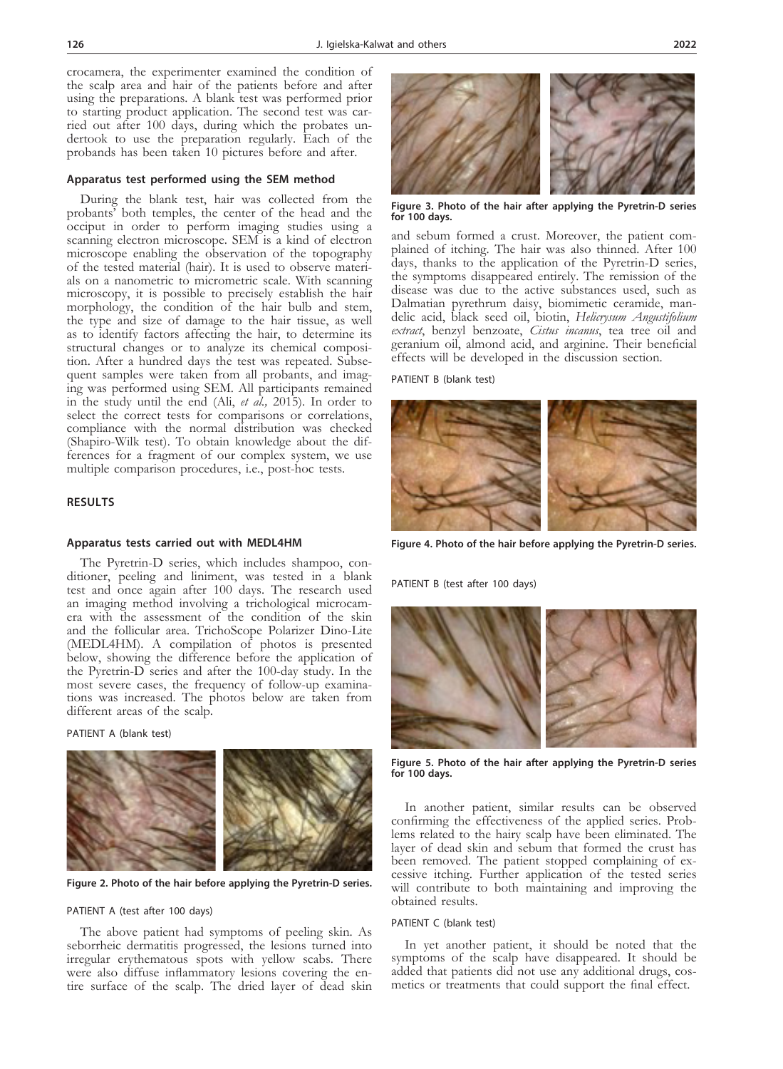crocamera, the experimenter examined the condition of the scalp area and hair of the patients before and after using the preparations. A blank test was performed prior to starting product application. The second test was carried out after 100 days, during which the probates undertook to use the preparation regularly. Each of the probands has been taken 10 pictures before and after.

## **Apparatus test performed using the SEM method**

During the blank test, hair was collected from the probants' both temples, the center of the head and the occiput in order to perform imaging studies using a scanning electron microscope. SEM is a kind of electron microscope enabling the observation of the topography of the tested material (hair). It is used to observe materials on a nanometric to micrometric scale. With scanning microscopy, it is possible to precisely establish the hair morphology, the condition of the hair bulb and stem, the type and size of damage to the hair tissue, as well as to identify factors affecting the hair, to determine its structural changes or to analyze its chemical composition. After a hundred days the test was repeated. Subse-<br>quent samples were taken from all probants, and imag-<br>ing was performed using SEM. All participants remained in the study until the end (Ali, *et al.,* 2015). In order to select the correct tests for comparisons or correlations, compliance with the normal distribution was checked (Shapiro-Wilk test). To obtain knowledge about the dif- ferences for a fragment of our complex system, we use multiple comparison procedures, i.e., post-hoc tests.

# **RESULTS**

## **Apparatus tests carried out with MEDL4HM**

The Pyretrin-D series, which includes shampoo, con- ditioner, peeling and liniment, was tested in a blank test and once again after 100 days. The research used an imaging method involving a trichological microcam- era with the assessment of the condition of the skin and the follicular area. TrichoScope Polarizer Dino-Lite (MEDL4HM). A compilation of photos is presented below, showing the difference before the application of the Pyretrin-D series and after the 100-day study. In the most severe cases, the frequency of follow-up examinations was increased. The photos below are taken from different areas of the scalp.

PATIENT A (blank test)



**Figure 2. Photo of the hair before applying the Pyretrin-D series.**

## PATIENT A (test after 100 days)

The above patient had symptoms of peeling skin. As seborrheic dermatitis progressed, the lesions turned into irregular erythematous spots with yellow scabs. There were also diffuse inflammatory lesions covering the entire surface of the scalp. The dried layer of dead skin



**Figure 3. Photo of the hair after applying the Pyretrin-D series for 100 days.**

and sebum formed a crust. Moreover, the patient complained of itching. The hair was also thinned. After 100 days, thanks to the application of the Pyretrin-D series, the symptoms disappeared entirely. The remission of the disease was due to the active substances used, such as Dalmatian pyrethrum daisy, biomimetic ceramide, mandelic acid, black seed oil, biotin, *Helicrysum Angustifolium extract*, benzyl benzoate, *Cistus incanus*, tea tree oil and geranium oil, almond acid, and arginine. Their beneficial effects will be developed in the discussion section.

PATIENT B (blank test)



**Figure 4. Photo of the hair before applying the Pyretrin-D series.**

PATIENT B (test after 100 days)



**Figure 5. Photo of the hair after applying the Pyretrin-D series for 100 days.**

In another patient, similar results can be observed confirming the effectiveness of the applied series. Problems related to the hairy scalp have been eliminated. The layer of dead skin and sebum that formed the crust has been removed. The patient stopped complaining of ex- cessive itching. Further application of the tested series will contribute to both maintaining and improving the obtained results.

## PATIENT C (blank test)

In yet another patient, it should be noted that the symptoms of the scalp have disappeared. It should be added that patients did not use any additional drugs, cosmetics or treatments that could support the final effect.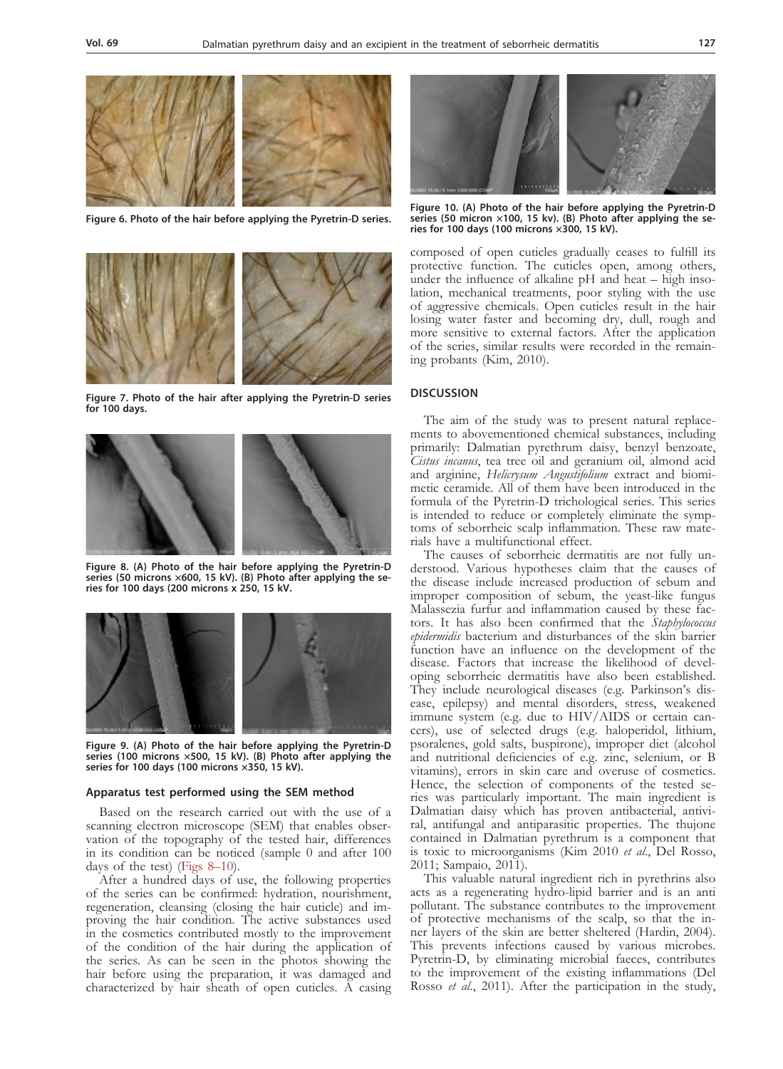

**Figure 6. Photo of the hair before applying the Pyretrin-D series.**



**Figure 7. Photo of the hair after applying the Pyretrin-D series for 100 days.**



**Figure 8. (A) Photo of the hair before applying the Pyretrin-D series (50 microns ×600, 15 kV). (B) Photo after applying the series for 100 days (200 microns x 250, 15 kV.**



**Figure 9. (A) Photo of the hair before applying the Pyretrin-D series (100 microns ×500, 15 kV). (B) Photo after applying the series for 100 days (100 microns ×350, 15 kV).**

#### **Apparatus test performed using the SEM method**

Based on the research carried out with the use of a scanning electron microscope (SEM) that enables observation of the topography of the tested hair, differences in its condition can be noticed (sample 0 and after 100 days of the test) (Figs 8–10).

After a hundred days of use, the following properties of the series can be confirmed: hydration, nourishment, regeneration, cleansing (closing the hair cuticle) and improving the hair condition. The active substances used in the cosmetics contributed mostly to the improvement of the condition of the hair during the application of the series. As can be seen in the photos showing the hair before using the preparation, it was damaged and characterized by hair sheath of open cuticles. A casing



**Figure 10. (A) Photo of the hair before applying the Pyretrin-D series (50 micron ×100, 15 kv). (B) Photo after applying the series for 100 days (100 microns ×300, 15 kV).**

composed of open cuticles gradually ceases to fulfill its protective function. The cuticles open, among others, under the influence of alkaline pH and heat – high insolation, mechanical treatments, poor styling with the use of aggressive chemicals. Open cuticles result in the hair losing water faster and becoming dry, dull, rough and more sensitive to external factors. After the application of the series, similar results were recorded in the remaining probants (Kim, 2010).

## **DISCUSSION**

The aim of the study was to present natural replace- ments to abovementioned chemical substances, including primarily: Dalmatian pyrethrum daisy, benzyl benzoate, *Cistus incanus*, tea tree oil and geranium oil, almond acid and arginine, *Helicrysum Angustifolium* extract and biomi-<br>metic ceramide. All of them have been introduced in the formula of the Pyretrin-D trichological series. This series toms of seborrheic scalp inflammation. These raw mate-<br>rials have a multifunctional effect.<br>The causes of seborrheic dermatitis are not fully un-

derstood. Various hypotheses claim that the causes of the disease include increased production of sebum and improper composition of sebum, the yeast-like fungus tors. It has also been confirmed that the *Staphylococcus epidermidis* bacterium and disturbances of the skin barrier function have an influence on the development of the disease. Factors that increase the likelihood of developing seborrheic dermatitis have also been established. They include neurological diseases (e.g. Parkinson's disease, epilepsy) and mental disorders, stress, weakened immune system (e.g. due to HIV/AIDS or certain cancers), use of selected drugs (e.g. haloperidol, lithium, psoralenes, gold salts, buspirone), improper diet (alcohol and nutritional deficiencies of e.g. zinc, selenium, or B vitamins), errors in skin care and overuse of cosmetics. Hence, the selection of components of the tested series was particularly important. The main ingredient is Dalmatian daisy which has proven antibacterial, antiviral, antifungal and antiparasitic properties. The thujone contained in Dalmatian pyrethrum is a component that is toxic to microorganisms (Kim 2010 *et al*., Del Rosso, 2011; Sampaio, 2011).

This valuable natural ingredient rich in pyrethrins also acts as a regenerating hydro-lipid barrier and is an anti pollutant. The substance contributes to the improvement of protective mechanisms of the scalp, so that the inner layers of the skin are better sheltered (Hardin, 2004). This prevents infections caused by various microbes. Pyretrin-D, by eliminating microbial faeces, contributes to the improvement of the existing inflammations (Del Rosso *et al*., 2011). After the participation in the study,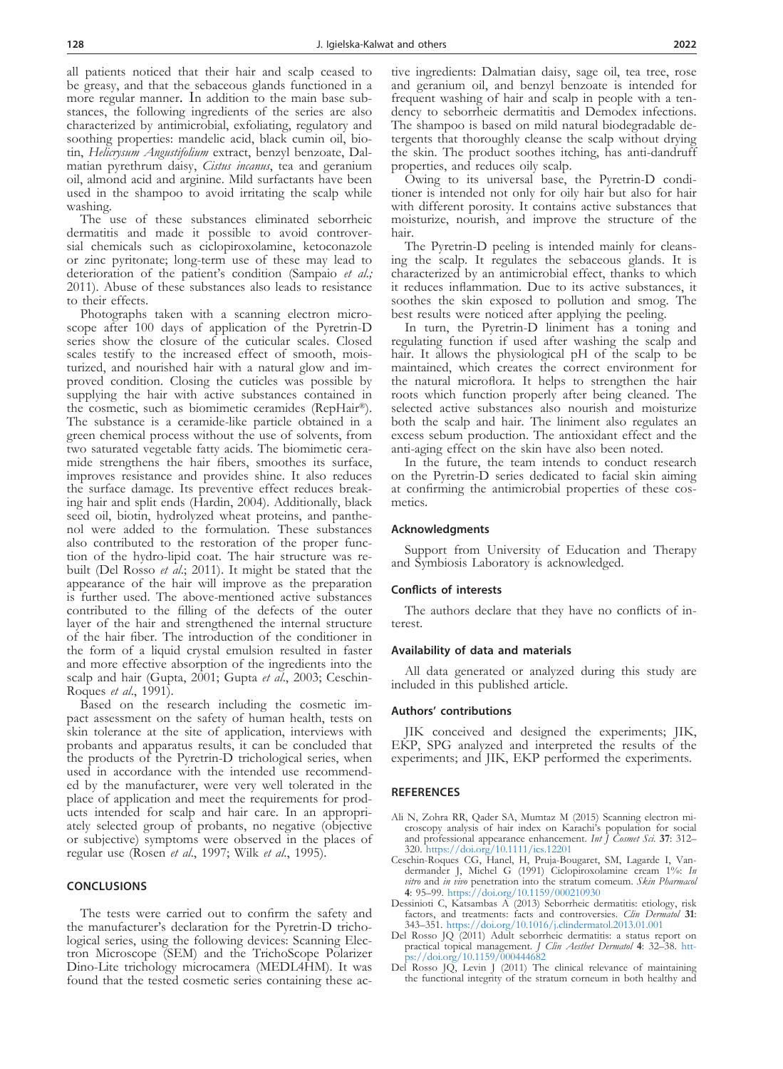all patients noticed that their hair and scalp ceased to be greasy, and that the sebaceous glands functioned in a more regular manner. In addition to the main base substances, the following ingredients of the series are also characterized by antimicrobial, exfoliating, regulatory and soothing properties: mandelic acid, black cumin oil, biotin, *Helicrysum Angustifolium* extract, benzyl benzoate, Dalmatian pyrethrum daisy, *Cistus incanus*, tea and geranium oil, almond acid and arginine. Mild surfactants have been used in the shampoo to avoid irritating the scalp while washing.

The use of these substances eliminated seborrheic dermatitis and made it possible to avoid controver- sial chemicals such as ciclopiroxolamine, ketoconazole or zinc pyritonate; long-term use of these may lead to deterioration of the patient's condition (Sampaio *et al.;* 2011). Abuse of these substances also leads to resistance

to their effects.<br>Photographs taken with a scanning electron microscope after 100 days of application of the Pyretrin-D series show the closure of the cuticular scales. Closed scales testify to the increased effect of smooth, moisturized, and nourished hair with a natural glow and im-<br>proved condition. Closing the cuticles was possible by supplying the hair with active substances contained in the cosmetic, such as biomimetic ceramides (RepHair®). The substance is a ceramide-like particle obtained in a green chemical process without the use of solvents, from two saturated vegetable fatty acids. The biomimetic cera- mide strengthens the hair fibers, smoothes its surface, improves resistance and provides shine. It also reduces the surface damage. Its preventive effect reduces break-<br>ing hair and split ends (Hardin, 2004). Additionally, black<br>seed oil, biotin, hydrolyzed wheat proteins, and panthenol were added to the formulation. These substances also contributed to the restoration of the proper func-<br>tion of the hydro-lipid coat. The hair structure was re-<br>built (Del Rosso *et al.*; 2011). It might be stated that the appearance of the hair will improve as the preparation is further used. The above-mentioned active substances contributed to the filling of the defects of the outer layer of the hair and strengthened the internal structure of the hair fiber. The introduction of the conditioner in the form of a liquid crystal emulsion resulted in faster and more effective absorption of the ingredients into the scalp and hair (Gupta, 2001; Gupta *et al*., 2003; Ceschin-Roques *et al*., 1991).

Based on the research including the cosmetic impact assessment on the safety of human health, tests on skin tolerance at the site of application, interviews with probants and apparatus results, it can be concluded that the products of the Pyretrin-D trichological series, when used in accordance with the intended use recommended by the manufacturer, were very well tolerated in the place of application and meet the requirements for products intended for scalp and hair care. In an appropriately selected group of probants, no negative (objective or subjective) symptoms were observed in the places of regular use (Rosen *et al*., 1997; Wilk *et al*., 1995).

#### **CONCLUSIONS**

The tests were carried out to confirm the safety and the manufacturer's declaration for the Pyretrin-D trichological series, using the following devices: Scanning Electron Microscope (SEM) and the TrichoScope Polarizer Dino-Lite trichology microcamera (MEDL4HM). It was found that the tested cosmetic series containing these active ingredients: Dalmatian daisy, sage oil, tea tree, rose and geranium oil, and benzyl benzoate is intended for frequent washing of hair and scalp in people with a tendency to seborrheic dermatitis and Demodex infections. The shampoo is based on mild natural biodegradable detergents that thoroughly cleanse the scalp without drying the skin. The product soothes itching, has anti-dandruff properties, and reduces oily scalp.

Owing to its universal base, the Pyretrin-D conditioner is intended not only for oily hair but also for hair with different porosity. It contains active substances that moisturize, nourish, and improve the structure of the hair.

The Pyretrin-D peeling is intended mainly for cleans- ing the scalp. It regulates the sebaceous glands. It is characterized by an antimicrobial effect, thanks to which it reduces inflammation. Due to its active substances, it soothes the skin exposed to pollution and smog. The best results were noticed after applying the peeling.

In turn, the Pyretrin-D liniment has a toning and regulating function if used after washing the scalp and hair. It allows the physiological pH of the scalp to be maintained, which creates the correct environment for the natural microflora. It helps to strengthen the hair roots which function properly after being cleaned. The selected active substances also nourish and moisturize both the scalp and hair. The liniment also regulates an excess sebum production. The antioxidant effect and the anti-aging effect on the skin have also been noted.

In the future, the team intends to conduct research on the Pyretrin-D series dedicated to facial skin aiming at confirming the antimicrobial properties of these cos- metics.

#### **Acknowledgments**

Support from University of Education and Therapy and Symbiosis Laboratory is acknowledged.

#### **Conflicts of interests**

The authors declare that they have no conflicts of in- terest.

#### **Availability of data and materials**

All data generated or analyzed during this study are included in this published article.

#### **Authors' contributions**

JIK conceived and designed the experiments; JIK, EKP, SPG analyzed and interpreted the results of the experiments; and JIK, EKP performed the experiments.

#### **REFERENCES**

- Ali N, Zohra RR, Qader SA, Mumtaz M (2015) Scanning electron microscopy analysis of hair index on Karachi's population for social and professional appearance enhancement. *Int J Cosmet Sci.* **37**: 312– 320. <https://doi.org/10.1111/ics.12201>
- Ceschin-Roques CG, Hanel, H, Pruja-Bougaret, SM, Lagarde I, Vandermander J, Michel G (1991) Ciclopiroxolamine cream 1%: *In vitro* and *in vivo* penetration into the stratum comeum. *Skin Pharmacol*  **4**: 95–99. <https://doi.org/10.1159/000210930> Dessinioti C, Katsambas A (2013) Seborrheic dermatitis: etiology, risk
- factors, and treatments: facts and controversies. *Clin Dermatol* **31**: 343–351. <https://doi.org/10.1016/j.clindermatol.2013.01.001>
- Del Rosso JQ (2011) Adult seborrheic dermatitis: a status report on practical topical management. *J Clin Aesthet Dermatol* **4**: 32–38. [htt](https://doi.org/10.1159/000444682)[ps://doi.org/10.1159/000444682](https://doi.org/10.1159/000444682)
- Del Rosso JQ, Levin J (2011) The clinical relevance of maintaining the functional integrity of the stratum corneum in both healthy and